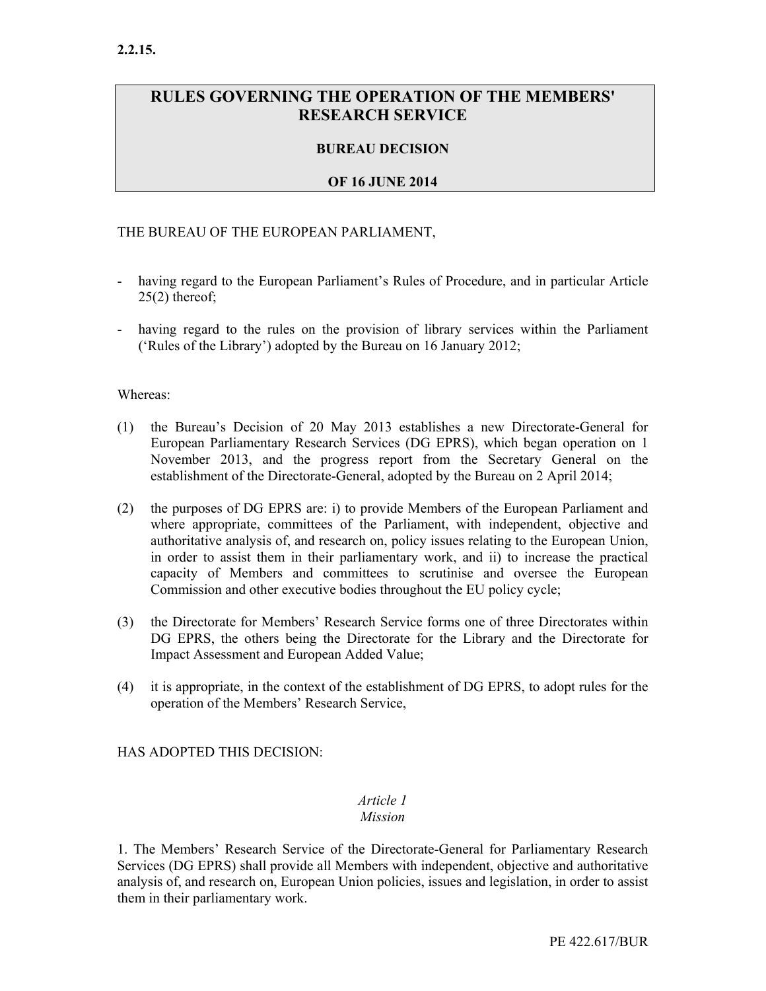# RULES GOVERNING THE OPERATION OF THE MEMBERS' RESEARCH SERVICE

# BUREAU DECISION

### OF 16 JUNE 2014

#### THE BUREAU OF THE EUROPEAN PARLIAMENT,

- having regard to the European Parliament's Rules of Procedure, and in particular Article  $25(2)$  thereof;
- having regard to the rules on the provision of library services within the Parliament ('Rules of the Library') adopted by the Bureau on 16 January 2012;

#### Whereas:

- (1) the Bureau's Decision of 20 May 2013 establishes a new Directorate-General for European Parliamentary Research Services (DG EPRS), which began operation on 1 November 2013, and the progress report from the Secretary General on the establishment of the Directorate-General, adopted by the Bureau on 2 April 2014;
- (2) the purposes of DG EPRS are: i) to provide Members of the European Parliament and where appropriate, committees of the Parliament, with independent, objective and authoritative analysis of, and research on, policy issues relating to the European Union, in order to assist them in their parliamentary work, and ii) to increase the practical capacity of Members and committees to scrutinise and oversee the European Commission and other executive bodies throughout the EU policy cycle;
- (3) the Directorate for Members' Research Service forms one of three Directorates within DG EPRS, the others being the Directorate for the Library and the Directorate for Impact Assessment and European Added Value;
- (4) it is appropriate, in the context of the establishment of DG EPRS, to adopt rules for the operation of the Members' Research Service,

#### HAS ADOPTED THIS DECISION:

#### Article 1 Mission

1. The Members' Research Service of the Directorate-General for Parliamentary Research Services (DG EPRS) shall provide all Members with independent, objective and authoritative analysis of, and research on, European Union policies, issues and legislation, in order to assist them in their parliamentary work.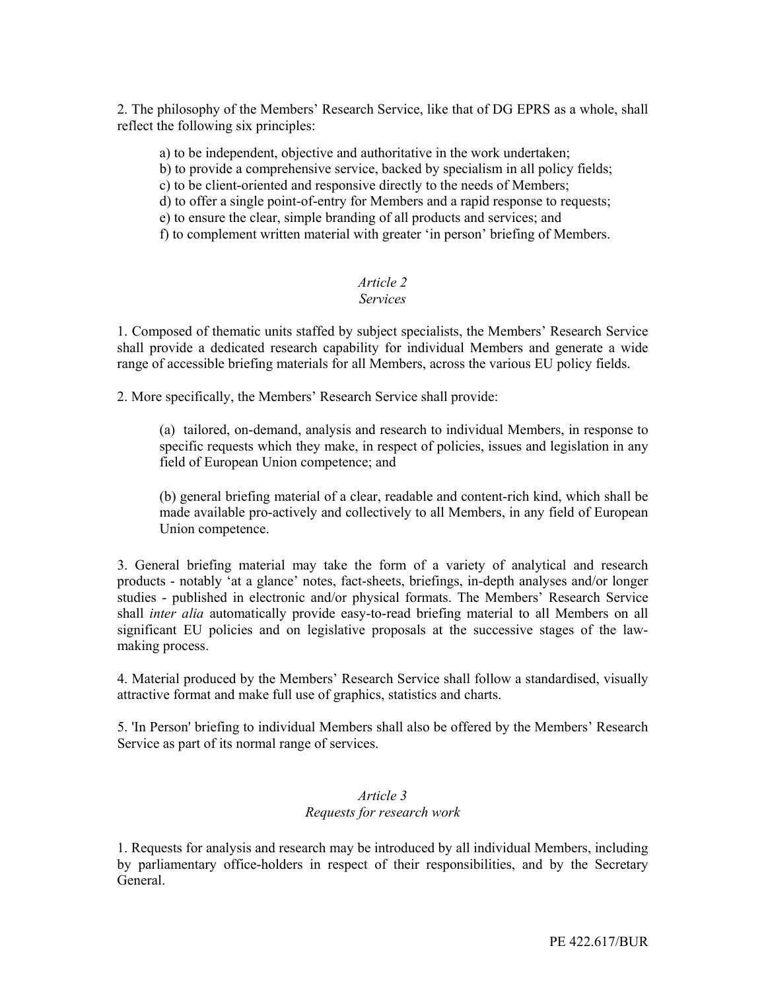2. The philosophy of the Members' Research Service, like that of DG EPRS as a whole, shall reflect the following six principles:

a) to be independent, objective and authoritative in the work undertaken;

b) to provide a comprehensive service, backed by specialism in all policy fields;

c) to be client-oriented and responsive directly to the needs of Members;

d) to offer a single point-of-entry for Members and a rapid response to requests;

e) to ensure the clear, simple branding of all products and services; and

f) to complement written material with greater 'in person' briefing of Members.

# Article 2

### Services

1. Composed of thematic units staffed by subject specialists, the Members' Research Service shall provide a dedicated research capability for individual Members and generate a wide range of accessible briefing materials for all Members, across the various EU policy fields.

2. More specifically, the Members' Research Service shall provide:

(a) tailored, on-demand, analysis and research to individual Members, in response to specific requests which they make, in respect of policies, issues and legislation in any field of European Union competence; and

(b) general briefing material of a clear, readable and content-rich kind, which shall be made available pro-actively and collectively to all Members, in any field of European Union competence.

3. General briefing material may take the form of a variety of analytical and research products - notably 'at a glance' notes, fact-sheets, briefings, in-depth analyses and/or longer studies - published in electronic and/or physical formats. The Members' Research Service shall inter alia automatically provide easy-to-read briefing material to all Members on all significant EU policies and on legislative proposals at the successive stages of the lawmaking process.

4. Material produced by the Members' Research Service shall follow a standardised, visually attractive format and make full use of graphics, statistics and charts.

5. 'In Person' briefing to individual Members shall also be offered by the Members' Research Service as part of its normal range of services.

### Article 3 Requests for research work

1. Requests for analysis and research may be introduced by all individual Members, including by parliamentary office-holders in respect of their responsibilities, and by the Secretary General.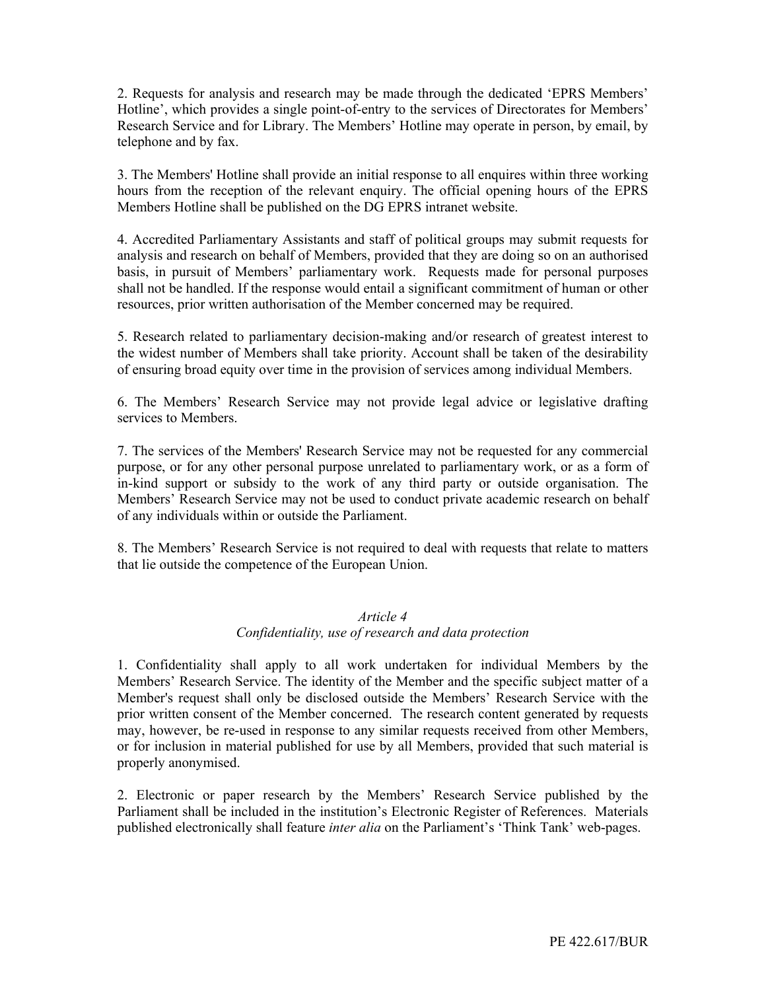2. Requests for analysis and research may be made through the dedicated 'EPRS Members' Hotline', which provides a single point-of-entry to the services of Directorates for Members' Research Service and for Library. The Members' Hotline may operate in person, by email, by telephone and by fax.

3. The Members' Hotline shall provide an initial response to all enquires within three working hours from the reception of the relevant enquiry. The official opening hours of the EPRS Members Hotline shall be published on the DG EPRS intranet website.

4. Accredited Parliamentary Assistants and staff of political groups may submit requests for analysis and research on behalf of Members, provided that they are doing so on an authorised basis, in pursuit of Members' parliamentary work. Requests made for personal purposes shall not be handled. If the response would entail a significant commitment of human or other resources, prior written authorisation of the Member concerned may be required.

5. Research related to parliamentary decision-making and/or research of greatest interest to the widest number of Members shall take priority. Account shall be taken of the desirability of ensuring broad equity over time in the provision of services among individual Members.

6. The Members' Research Service may not provide legal advice or legislative drafting services to Members.

7. The services of the Members' Research Service may not be requested for any commercial purpose, or for any other personal purpose unrelated to parliamentary work, or as a form of in-kind support or subsidy to the work of any third party or outside organisation. The Members' Research Service may not be used to conduct private academic research on behalf of any individuals within or outside the Parliament.

8. The Members' Research Service is not required to deal with requests that relate to matters that lie outside the competence of the European Union.

#### Article 4

#### Confidentiality, use of research and data protection

1. Confidentiality shall apply to all work undertaken for individual Members by the Members' Research Service. The identity of the Member and the specific subject matter of a Member's request shall only be disclosed outside the Members' Research Service with the prior written consent of the Member concerned. The research content generated by requests may, however, be re-used in response to any similar requests received from other Members, or for inclusion in material published for use by all Members, provided that such material is properly anonymised.

2. Electronic or paper research by the Members' Research Service published by the Parliament shall be included in the institution's Electronic Register of References. Materials published electronically shall feature inter alia on the Parliament's 'Think Tank' web-pages.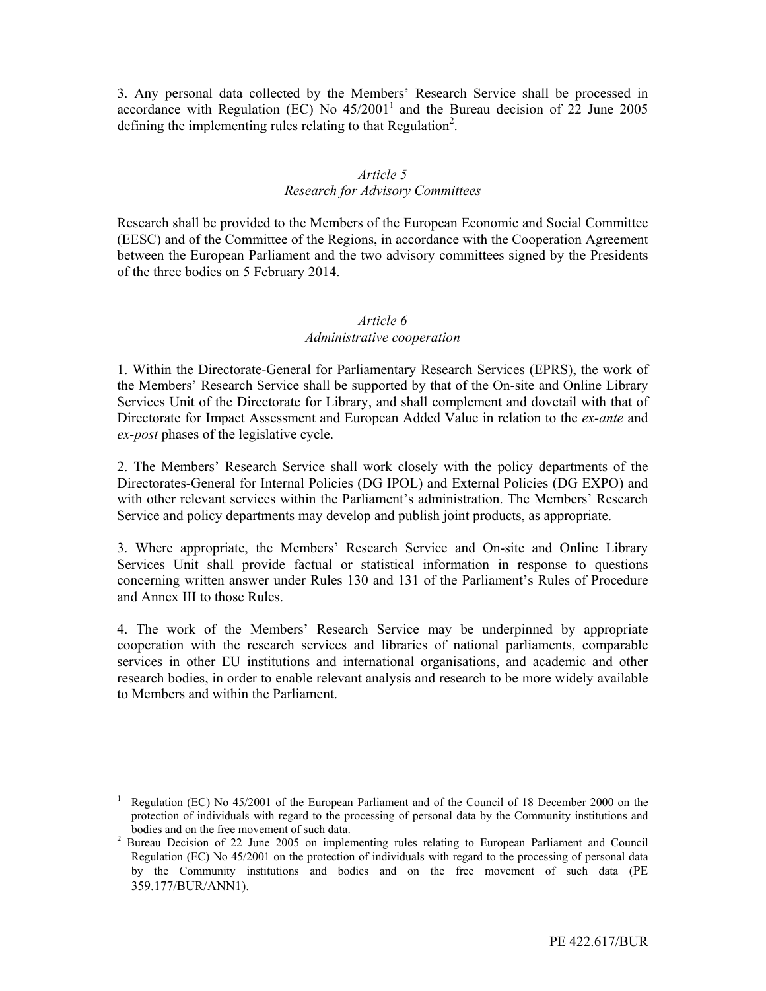3. Any personal data collected by the Members' Research Service shall be processed in accordance with Regulation (EC) No  $45/2001<sup>1</sup>$  and the Bureau decision of 22 June 2005 defining the implementing rules relating to that Regulation<sup>2</sup>.

#### Article 5 Research for Advisory Committees

Research shall be provided to the Members of the European Economic and Social Committee (EESC) and of the Committee of the Regions, in accordance with the Cooperation Agreement between the European Parliament and the two advisory committees signed by the Presidents of the three bodies on 5 February 2014.

### Article 6

### Administrative cooperation

1. Within the Directorate-General for Parliamentary Research Services (EPRS), the work of the Members' Research Service shall be supported by that of the On-site and Online Library Services Unit of the Directorate for Library, and shall complement and dovetail with that of Directorate for Impact Assessment and European Added Value in relation to the ex-ante and ex-post phases of the legislative cycle.

2. The Members' Research Service shall work closely with the policy departments of the Directorates-General for Internal Policies (DG IPOL) and External Policies (DG EXPO) and with other relevant services within the Parliament's administration. The Members' Research Service and policy departments may develop and publish joint products, as appropriate.

3. Where appropriate, the Members' Research Service and On-site and Online Library Services Unit shall provide factual or statistical information in response to questions concerning written answer under Rules 130 and 131 of the Parliament's Rules of Procedure and Annex III to those Rules.

4. The work of the Members' Research Service may be underpinned by appropriate cooperation with the research services and libraries of national parliaments, comparable services in other EU institutions and international organisations, and academic and other research bodies, in order to enable relevant analysis and research to be more widely available to Members and within the Parliament.

<sup>-</sup>1 Regulation (EC) No 45/2001 of the European Parliament and of the Council of 18 December 2000 on the protection of individuals with regard to the processing of personal data by the Community institutions and bodies and on the free movement of such data.

<sup>&</sup>lt;sup>2</sup> Bureau Decision of 22 June 2005 on implementing rules relating to European Parliament and Council Regulation (EC) No 45/2001 on the protection of individuals with regard to the processing of personal data by the Community institutions and bodies and on the free movement of such data (PE 359.177/BUR/ANN1).